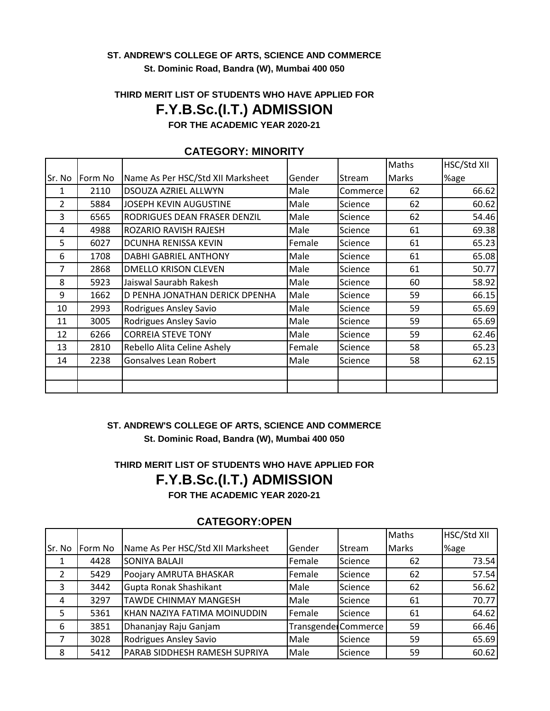#### **ST. ANDREW'S COLLEGE OF ARTS, SCIENCE AND COMMERCE St. Dominic Road, Bandra (W), Mumbai 400 050**

### **THIRD MERIT LIST OF STUDENTS WHO HAVE APPLIED FOR**

### **F.Y.B.Sc.(I.T.) ADMISSION**

**FOR THE ACADEMIC YEAR 2020-21**

|                |         |                                   |        |          | Maths | HSC/Std XII |
|----------------|---------|-----------------------------------|--------|----------|-------|-------------|
| Sr. No         | Form No | Name As Per HSC/Std XII Marksheet | Gender | Stream   | Marks | %age        |
| 1              | 2110    | DSOUZA AZRIEL ALLWYN              | Male   | Commerce | 62    | 66.62       |
| $\overline{2}$ | 5884    | <b>JOSEPH KEVIN AUGUSTINE</b>     | Male   | Science  | 62    | 60.62       |
| 3              | 6565    | RODRIGUES DEAN FRASER DENZIL      | Male   | Science  | 62    | 54.46       |
| 4              | 4988    | ROZARIO RAVISH RAJESH             | Male   | Science  | 61    | 69.38       |
| 5              | 6027    | DCUNHA RENISSA KEVIN              | Female | Science  | 61    | 65.23       |
| 6              | 1708    | <b>DABHI GABRIEL ANTHONY</b>      | Male   | Science  | 61    | 65.08       |
| 7              | 2868    | <b>DMELLO KRISON CLEVEN</b>       | Male   | Science  | 61    | 50.77       |
| 8              | 5923    | Jaiswal Saurabh Rakesh            | Male   | Science  | 60    | 58.92       |
| 9              | 1662    | D PENHA JONATHAN DERICK DPENHA    | Male   | Science  | 59    | 66.15       |
| 10             | 2993    | Rodrigues Ansley Savio            | Male   | Science  | 59    | 65.69       |
| 11             | 3005    | Rodrigues Ansley Savio            | Male   | Science  | 59    | 65.69       |
| 12             | 6266    | <b>CORREIA STEVE TONY</b>         | Male   | Science  | 59    | 62.46       |
| 13             | 2810    | Rebello Alita Celine Ashely       | Female | Science  | 58    | 65.23       |
| 14             | 2238    | <b>Gonsalves Lean Robert</b>      | Male   | Science  | 58    | 62.15       |
|                |         |                                   |        |          |       |             |
|                |         |                                   |        |          |       |             |

#### **CATEGORY: MINORITY**

#### **ST. ANDREW'S COLLEGE OF ARTS, SCIENCE AND COMMERCE St. Dominic Road, Bandra (W), Mumbai 400 050**

# **THIRD MERIT LIST OF STUDENTS WHO HAVE APPLIED FOR F.Y.B.Sc.(I.T.) ADMISSION**

**FOR THE ACADEMIC YEAR 2020-21**

|         | 981 - 991 1.91 - 91 |                                   |               |                     |              |             |  |
|---------|---------------------|-----------------------------------|---------------|---------------------|--------------|-------------|--|
|         |                     |                                   |               |                     | <b>Maths</b> | HSC/Std XII |  |
| lSr. No | Form No             | Name As Per HSC/Std XII Marksheet | Gender        | <b>Stream</b>       | <b>Marks</b> | %age        |  |
|         | 4428                | <b>SONIYA BALAJI</b>              | <b>Female</b> | Science             | 62           | 73.54       |  |
|         | 5429                | Poojary AMRUTA BHASKAR            | Female        | Science             | 62           | 57.54       |  |
| 3       | 3442                | Gupta Ronak Shashikant            | Male          | Science             | 62           | 56.62       |  |
| 4       | 3297                | <b>TAWDE CHINMAY MANGESH</b>      | Male          | Science             | 61           | 70.77       |  |
| 5.      | 5361                | KHAN NAZIYA FATIMA MOINUDDIN      | Female        | Science             | 61           | 64.62       |  |
| 6       | 3851                | Dhananjay Raju Ganjam             |               | Transgende Commerce | 59           | 66.46       |  |
|         | 3028                | Rodrigues Ansley Savio            | Male          | Science             | 59           | 65.69       |  |
| 8       | 5412                | PARAB SIDDHESH RAMESH SUPRIYA     | Male          | Science             | 59           | 60.62       |  |

#### **CATEGORY:OPEN**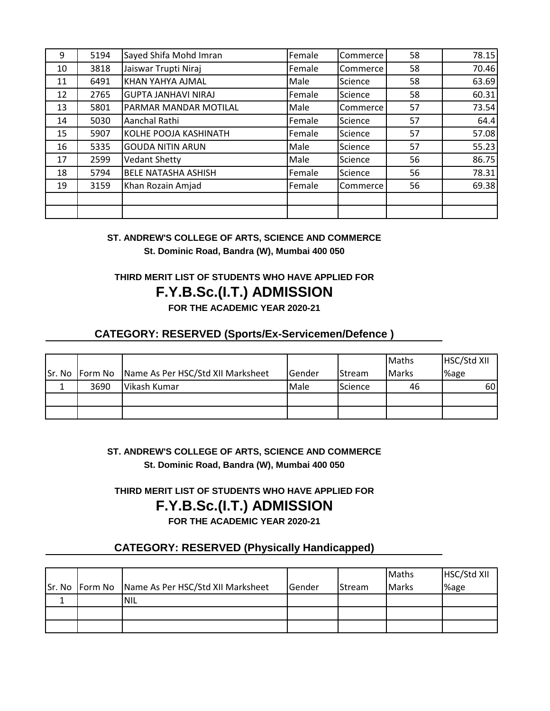| 9  | 5194 | Sayed Shifa Mohd Imran     | Female | Commerce | 58 | 78.15 |
|----|------|----------------------------|--------|----------|----|-------|
| 10 | 3818 | Jaiswar Trupti Niraj       | Female | Commerce | 58 | 70.46 |
| 11 | 6491 | KHAN YAHYA AJMAL           | Male   | Science  | 58 | 63.69 |
| 12 | 2765 | <b>GUPTA JANHAVI NIRAJ</b> | Female | Science  | 58 | 60.31 |
| 13 | 5801 | PARMAR MANDAR MOTILAL      | Male   | Commerce | 57 | 73.54 |
| 14 | 5030 | Aanchal Rathi              | Female | Science  | 57 | 64.4  |
| 15 | 5907 | KOLHE POOJA KASHINATH      | Female | Science  | 57 | 57.08 |
| 16 | 5335 | <b>GOUDA NITIN ARUN</b>    | Male   | Science  | 57 | 55.23 |
| 17 | 2599 | <b>Vedant Shetty</b>       | Male   | Science  | 56 | 86.75 |
| 18 | 5794 | <b>BELE NATASHA ASHISH</b> | Female | Science  | 56 | 78.31 |
| 19 | 3159 | Khan Rozain Amjad          | Female | Commerce | 56 | 69.38 |
|    |      |                            |        |          |    |       |
|    |      |                            |        |          |    |       |

**ST. ANDREW'S COLLEGE OF ARTS, SCIENCE AND COMMERCE St. Dominic Road, Bandra (W), Mumbai 400 050**

## **THIRD MERIT LIST OF STUDENTS WHO HAVE APPLIED FOR**

## **F.Y.B.Sc.(I.T.) ADMISSION**

**FOR THE ACADEMIC YEAR 2020-21**

#### **CATEGORY: RESERVED (Sports/Ex-Servicemen/Defence )**

|      |                                                  |        |               | <b>Maths</b> | HSC/Std XII |
|------|--------------------------------------------------|--------|---------------|--------------|-------------|
|      | Sr. No Form No Name As Per HSC/Std XII Marksheet | Gender | <b>Stream</b> | Marks        | '%age       |
| 3690 | Vikash Kumar                                     | Male   | Science       | 46           | 60I         |
|      |                                                  |        |               |              |             |
|      |                                                  |        |               |              |             |

**ST. ANDREW'S COLLEGE OF ARTS, SCIENCE AND COMMERCE St. Dominic Road, Bandra (W), Mumbai 400 050**

**F.Y.B.Sc.(I.T.) ADMISSION THIRD MERIT LIST OF STUDENTS WHO HAVE APPLIED FOR**

**FOR THE ACADEMIC YEAR 2020-21**

### **CATEGORY: RESERVED (Physically Handicapped)**

|  | Sr. No Form No Name As Per HSC/Std XII Marksheet | lGender | <b>Stream</b> | Maths<br><b>Marks</b> | HSC/Std XII<br>%age |
|--|--------------------------------------------------|---------|---------------|-----------------------|---------------------|
|  | <b>NIL</b>                                       |         |               |                       |                     |
|  |                                                  |         |               |                       |                     |
|  |                                                  |         |               |                       |                     |